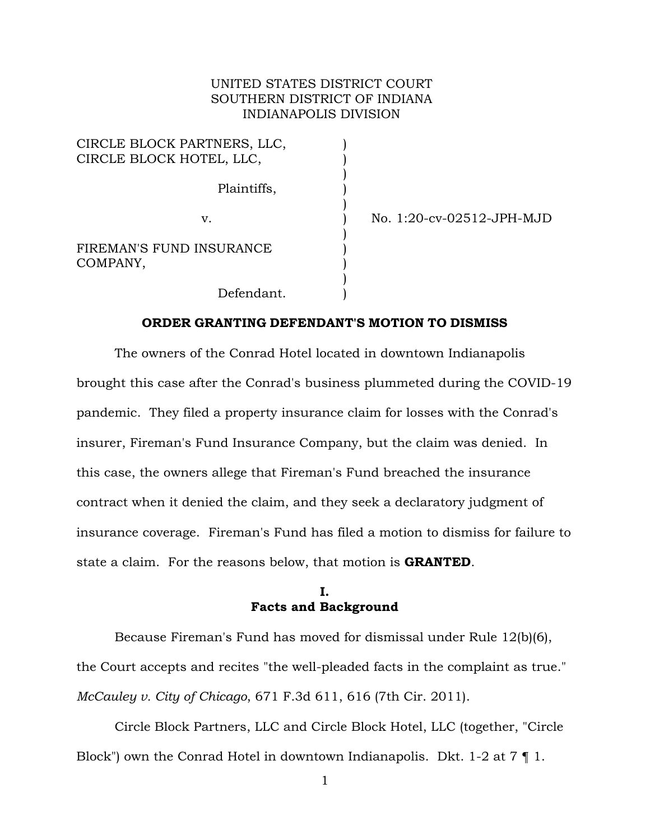### UNITED STATES DISTRICT COURT SOUTHERN DISTRICT OF INDIANA INDIANAPOLIS DIVISION

| CIRCLE BLOCK PARTNERS, LLC,<br>CIRCLE BLOCK HOTEL, LLC, |  |
|---------------------------------------------------------|--|
| Plaintiffs,                                             |  |
| V.                                                      |  |
| FIREMAN'S FUND INSURANCE<br>COMPANY,                    |  |
| Defendant.                                              |  |

v. ) No. 1:20-cv-02512-JPH-MJD

#### **ORDER GRANTING DEFENDANT'S MOTION TO DISMISS**

The owners of the Conrad Hotel located in downtown Indianapolis brought this case after the Conrad's business plummeted during the COVID-19 pandemic. They filed a property insurance claim for losses with the Conrad's insurer, Fireman's Fund Insurance Company, but the claim was denied. In this case, the owners allege that Fireman's Fund breached the insurance contract when it denied the claim, and they seek a declaratory judgment of insurance coverage. Fireman's Fund has filed a motion to dismiss for failure to state a claim. For the reasons below, that motion is **GRANTED**.

#### **I. Facts and Background**

Because Fireman's Fund has moved for dismissal under Rule 12(b)(6), the Court accepts and recites "the well-pleaded facts in the complaint as true." *McCauley v. City of Chicago*, 671 F.3d 611, 616 (7th Cir. 2011).

Circle Block Partners, LLC and Circle Block Hotel, LLC (together, "Circle Block") own the Conrad Hotel in downtown Indianapolis. Dkt. 1-2 at 7 ¶ 1.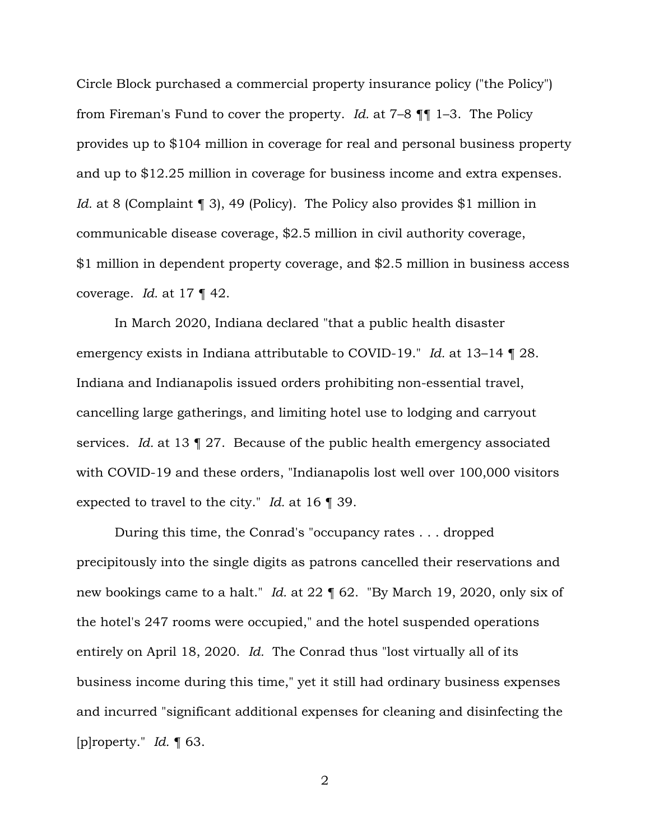Circle Block purchased a commercial property insurance policy ("the Policy") from Fireman's Fund to cover the property. *Id.* at 7–8 ¶¶ 1–3. The Policy provides up to \$104 million in coverage for real and personal business property and up to \$12.25 million in coverage for business income and extra expenses. *Id.* at 8 (Complaint 1 3), 49 (Policy). The Policy also provides \$1 million in communicable disease coverage, \$2.5 million in civil authority coverage, \$1 million in dependent property coverage, and \$2.5 million in business access coverage. *Id.* at 17 ¶ 42.

In March 2020, Indiana declared "that a public health disaster emergency exists in Indiana attributable to COVID-19." *Id.* at 13–14 ¶ 28. Indiana and Indianapolis issued orders prohibiting non-essential travel, cancelling large gatherings, and limiting hotel use to lodging and carryout services. *Id.* at 13 ¶ 27. Because of the public health emergency associated with COVID-19 and these orders, "Indianapolis lost well over 100,000 visitors expected to travel to the city." *Id.* at 16 ¶ 39.

During this time, the Conrad's "occupancy rates . . . dropped precipitously into the single digits as patrons cancelled their reservations and new bookings came to a halt." *Id.* at 22 ¶ 62. "By March 19, 2020, only six of the hotel's 247 rooms were occupied," and the hotel suspended operations entirely on April 18, 2020. *Id.* The Conrad thus "lost virtually all of its business income during this time," yet it still had ordinary business expenses and incurred "significant additional expenses for cleaning and disinfecting the [p]roperty." *Id.* ¶ 63.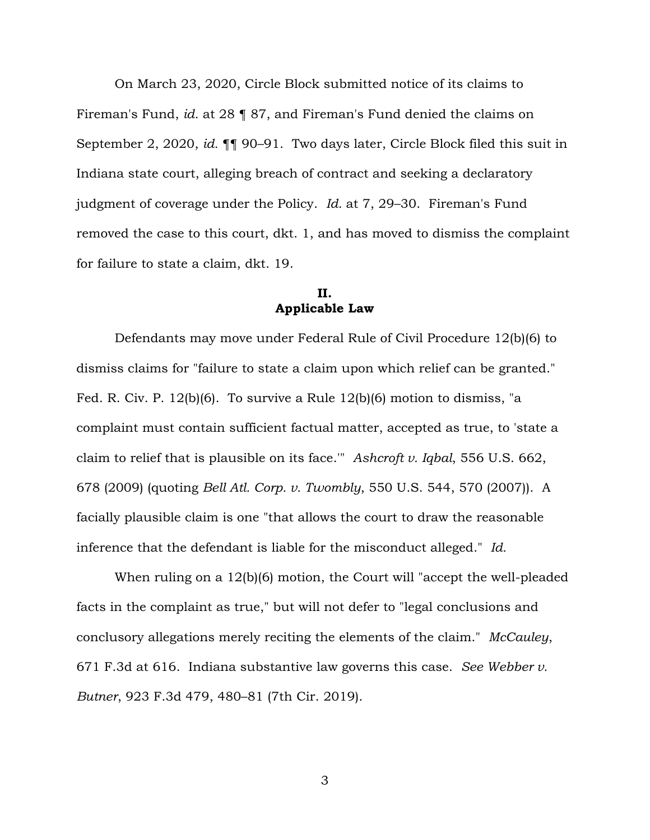On March 23, 2020, Circle Block submitted notice of its claims to Fireman's Fund, *id.* at 28 ¶ 87, and Fireman's Fund denied the claims on September 2, 2020, *id.* ¶¶ 90–91. Two days later, Circle Block filed this suit in Indiana state court, alleging breach of contract and seeking a declaratory judgment of coverage under the Policy. *Id.* at 7, 29–30. Fireman's Fund removed the case to this court, dkt. 1, and has moved to dismiss the complaint for failure to state a claim, dkt. 19.

## **II. Applicable Law**

Defendants may move under Federal Rule of Civil Procedure 12(b)(6) to dismiss claims for "failure to state a claim upon which relief can be granted." Fed. R. Civ. P. 12(b)(6). To survive a Rule 12(b)(6) motion to dismiss, "a complaint must contain sufficient factual matter, accepted as true, to 'state a claim to relief that is plausible on its face.'" *Ashcroft v. Iqbal*, 556 U.S. 662, 678 (2009) (quoting *Bell Atl. Corp. v. Twombly*, 550 U.S. 544, 570 (2007)). A facially plausible claim is one "that allows the court to draw the reasonable inference that the defendant is liable for the misconduct alleged." *Id.*

When ruling on a 12(b)(6) motion, the Court will "accept the well-pleaded facts in the complaint as true," but will not defer to "legal conclusions and conclusory allegations merely reciting the elements of the claim." *McCauley*, 671 F.3d at 616. Indiana substantive law governs this case. *See Webber v. Butner*, 923 F.3d 479, 480–81 (7th Cir. 2019).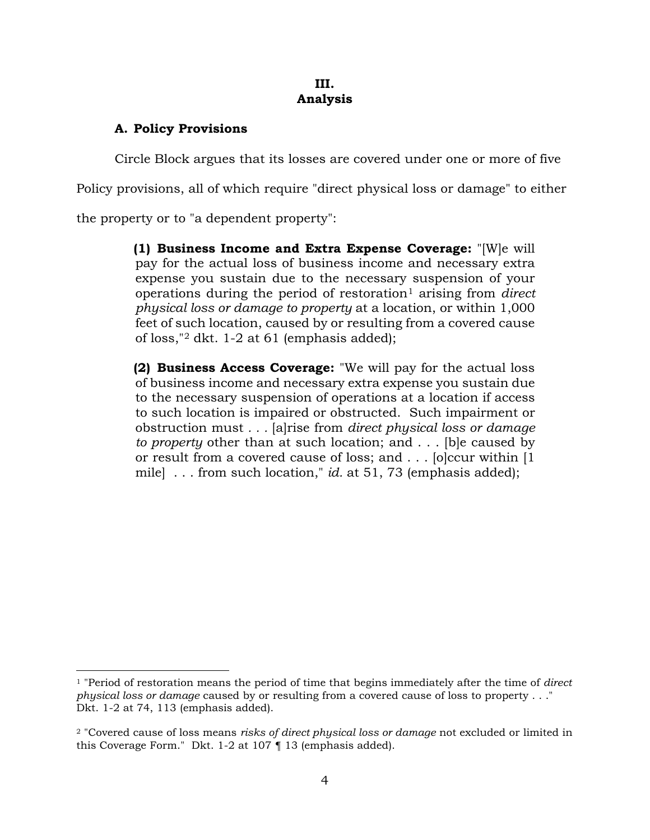## **III. Analysis**

# **A. Policy Provisions**

Circle Block argues that its losses are covered under one or more of five

Policy provisions, all of which require "direct physical loss or damage" to either

the property or to "a dependent property":

**(1) Business Income and Extra Expense Coverage:** "[W]e will pay for the actual loss of business income and necessary extra expense you sustain due to the necessary suspension of your operations during the period of restoration<sup>[1](#page-3-0)</sup> arising from *direct physical loss or damage to property* at a location, or within 1,000 feet of such location, caused by or resulting from a covered cause of loss,"[2](#page-3-1) dkt. 1-2 at 61 (emphasis added);

**(2) Business Access Coverage:** "We will pay for the actual loss of business income and necessary extra expense you sustain due to the necessary suspension of operations at a location if access to such location is impaired or obstructed. Such impairment or obstruction must *. . .* [a]rise from *direct physical loss or damage to property* other than at such location; and . . . [b]e caused by or result from a covered cause of loss; and . . . [o]ccur within [1 mile] . . . from such location," *id.* at 51, 73 (emphasis added);

<span id="page-3-0"></span><sup>1</sup> "Period of restoration means the period of time that begins immediately after the time of *direct physical loss or damage* caused by or resulting from a covered cause of loss to property . . ." Dkt. 1-2 at 74, 113 (emphasis added).

<span id="page-3-1"></span><sup>2</sup> "Covered cause of loss means *risks of direct physical loss or damage* not excluded or limited in this Coverage Form." Dkt. 1-2 at 107 ¶ 13 (emphasis added).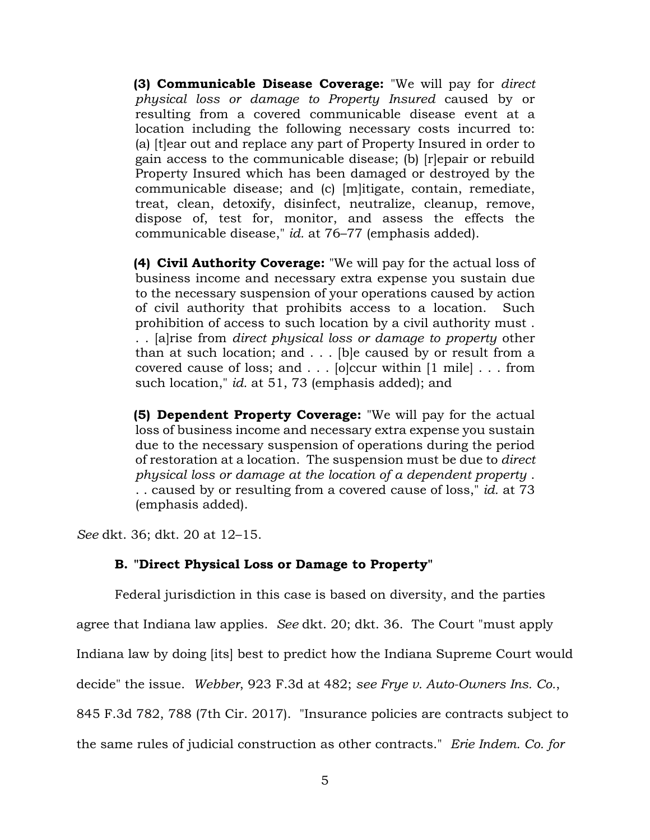**(3) Communicable Disease Coverage:** "We will pay for *direct physical loss or damage to Property Insured* caused by or resulting from a covered communicable disease event at a location including the following necessary costs incurred to: (a) [t]ear out and replace any part of Property Insured in order to gain access to the communicable disease; (b) [r]epair or rebuild Property Insured which has been damaged or destroyed by the communicable disease; and (c) [m]itigate, contain, remediate, treat, clean, detoxify, disinfect, neutralize, cleanup, remove, dispose of, test for, monitor, and assess the effects the communicable disease," *id.* at 76–77 (emphasis added).

**(4) Civil Authority Coverage:** "We will pay for the actual loss of business income and necessary extra expense you sustain due to the necessary suspension of your operations caused by action of civil authority that prohibits access to a location. Such prohibition of access to such location by a civil authority must . . . [a]rise from *direct physical loss or damage to property* other than at such location; and . . . [b]e caused by or result from a covered cause of loss; and . . . [o]ccur within [1 mile] . . . from such location," *id.* at 51, 73 (emphasis added); and

**(5) Dependent Property Coverage:** "We will pay for the actual loss of business income and necessary extra expense you sustain due to the necessary suspension of operations during the period of restoration at a location. The suspension must be due to *direct physical loss or damage at the location of a dependent property* . . . caused by or resulting from a covered cause of loss," *id.* at 73 (emphasis added).

*See* dkt. 36; dkt. 20 at 12–15.

# **B. "Direct Physical Loss or Damage to Property"**

Federal jurisdiction in this case is based on diversity, and the parties agree that Indiana law applies. *See* dkt. 20; dkt. 36. The Court "must apply Indiana law by doing [its] best to predict how the Indiana Supreme Court would decide" the issue. *Webber*, 923 F.3d at 482; *see Frye v. Auto-Owners Ins. Co.*, 845 F.3d 782, 788 (7th Cir. 2017). "Insurance policies are contracts subject to the same rules of judicial construction as other contracts." *Erie Indem. Co. for*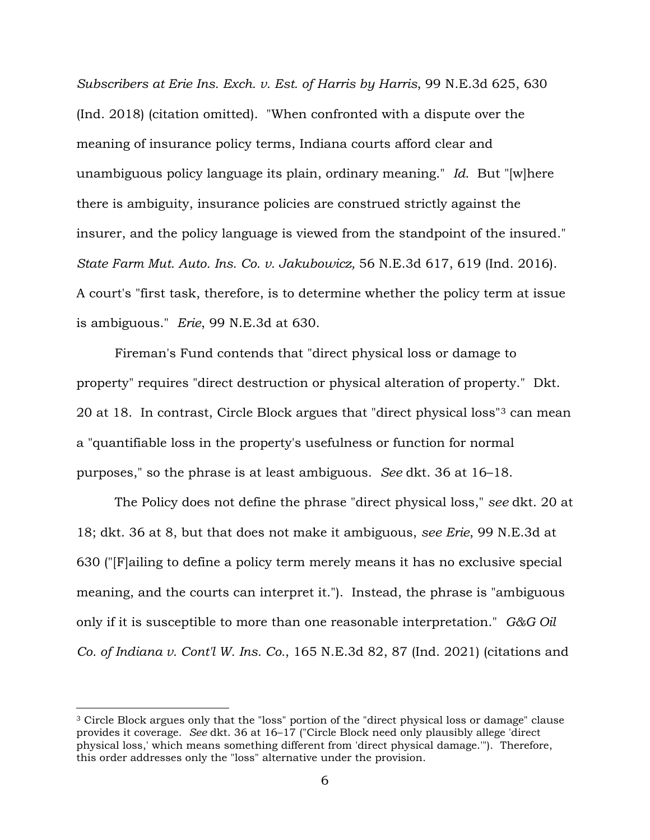*Subscribers at Erie Ins. Exch. v. Est. of Harris by Harris*, 99 N.E.3d 625, 630 (Ind. 2018) (citation omitted). "When confronted with a dispute over the meaning of insurance policy terms, Indiana courts afford clear and unambiguous policy language its plain, ordinary meaning." *Id.* But "[w]here there is ambiguity, insurance policies are construed strictly against the insurer, and the policy language is viewed from the standpoint of the insured." *State Farm Mut. Auto. Ins. Co. v. Jakubowicz,* 56 N.E.3d 617, 619 (Ind. 2016). A court's "first task, therefore, is to determine whether the policy term at issue is ambiguous." *Erie*, 99 N.E.3d at 630.

Fireman's Fund contends that "direct physical loss or damage to property" requires "direct destruction or physical alteration of property." Dkt. 20 at 18. In contrast, Circle Block argues that "direct physical loss"[3](#page-5-0) can mean a "quantifiable loss in the property's usefulness or function for normal purposes," so the phrase is at least ambiguous. *See* dkt. 36 at 16–18.

The Policy does not define the phrase "direct physical loss," *see* dkt. 20 at 18; dkt. 36 at 8, but that does not make it ambiguous, *see Erie*, 99 N.E.3d at 630 ("[F]ailing to define a policy term merely means it has no exclusive special meaning, and the courts can interpret it."). Instead, the phrase is "ambiguous only if it is susceptible to more than one reasonable interpretation." *G&G Oil Co. of Indiana v. Cont'l W. Ins. Co.*, 165 N.E.3d 82, 87 (Ind. 2021) (citations and

<span id="page-5-0"></span><sup>3</sup> Circle Block argues only that the "loss" portion of the "direct physical loss or damage" clause provides it coverage. *See* dkt. 36 at 16–17 ("Circle Block need only plausibly allege 'direct physical loss,' which means something different from 'direct physical damage.'"). Therefore, this order addresses only the "loss" alternative under the provision.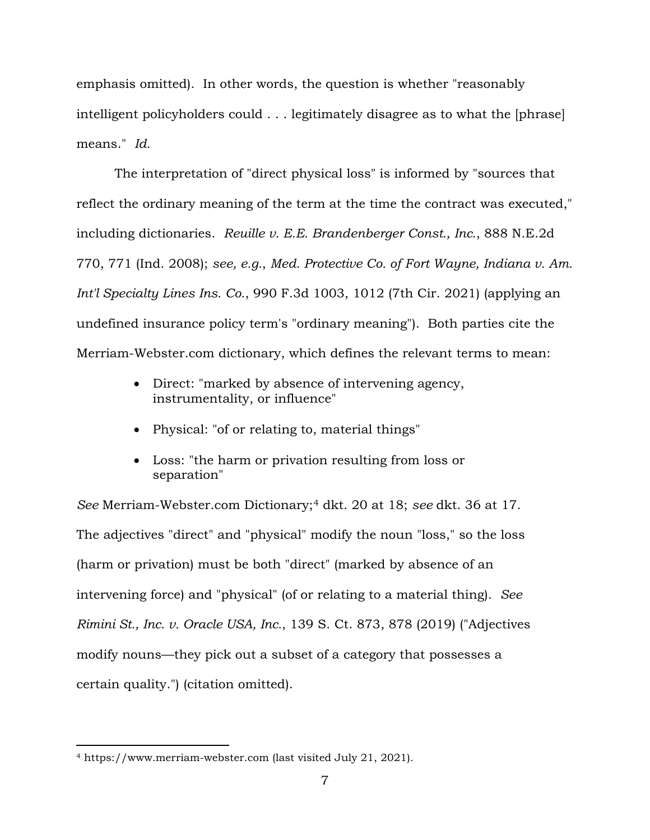emphasis omitted). In other words, the question is whether "reasonably intelligent policyholders could . . . legitimately disagree as to what the [phrase] means." *Id.*

The interpretation of "direct physical loss" is informed by "sources that reflect the ordinary meaning of the term at the time the contract was executed," including dictionaries. *Reuille v. E.E. Brandenberger Const., Inc.*, 888 N.E.2d 770, 771 (Ind. 2008); *see, e.g.*, *Med. Protective Co. of Fort Wayne, Indiana v. Am. Int'l Specialty Lines Ins. Co.*, 990 F.3d 1003, 1012 (7th Cir. 2021) (applying an undefined insurance policy term's "ordinary meaning"). Both parties cite the Merriam-Webster.com dictionary, which defines the relevant terms to mean:

- Direct: "marked by absence of intervening agency, instrumentality, or influence"
- Physical: "of or relating to, material things"
- Loss: "the harm or privation resulting from loss or separation"

*See* Merriam-Webster.com Dictionary;[4](#page-6-0) dkt. 20 at 18; *see* dkt. 36 at 17. The adjectives "direct" and "physical" modify the noun "loss," so the loss (harm or privation) must be both "direct" (marked by absence of an intervening force) and "physical" (of or relating to a material thing). *See Rimini St., Inc. v. Oracle USA, Inc.*, 139 S. Ct. 873, 878 (2019) ("Adjectives modify nouns—they pick out a subset of a category that possesses a certain quality.") (citation omitted).

<span id="page-6-0"></span><sup>4</sup> https://www.merriam-webster.com (last visited July 21, 2021).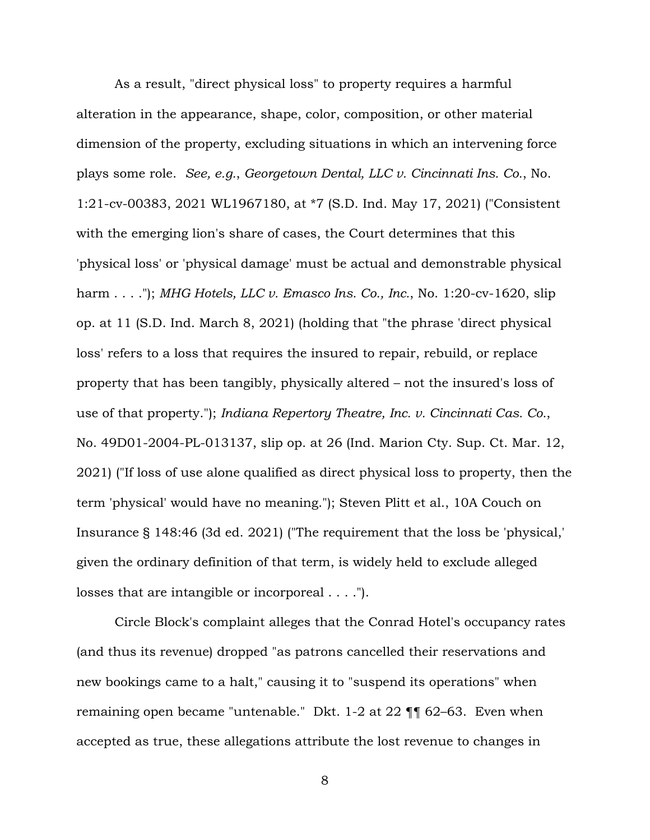As a result, "direct physical loss" to property requires a harmful alteration in the appearance, shape, color, composition, or other material dimension of the property, excluding situations in which an intervening force plays some role. *See, e.g.*, *Georgetown Dental, LLC v. Cincinnati Ins. Co.*, No. 1:21-cv-00383, 2021 WL1967180, at \*7 (S.D. Ind. May 17, 2021) ("Consistent with the emerging lion's share of cases, the Court determines that this 'physical loss' or 'physical damage' must be actual and demonstrable physical harm . . . ."); *MHG Hotels, LLC v. Emasco Ins. Co., Inc.*, No. 1:20-cv-1620, slip op. at 11 (S.D. Ind. March 8, 2021) (holding that "the phrase 'direct physical loss' refers to a loss that requires the insured to repair, rebuild, or replace property that has been tangibly, physically altered – not the insured's loss of use of that property."); *Indiana Repertory Theatre, Inc. v. Cincinnati Cas. Co.*, No. 49D01-2004-PL-013137, slip op. at 26 (Ind. Marion Cty. Sup. Ct. Mar. 12, 2021) ("If loss of use alone qualified as direct physical loss to property, then the term 'physical' would have no meaning."); Steven Plitt et al., 10A Couch on Insurance § 148:46 (3d ed. 2021) ("The requirement that the loss be 'physical,' given the ordinary definition of that term, is widely held to exclude alleged losses that are intangible or incorporeal . . . .").

Circle Block's complaint alleges that the Conrad Hotel's occupancy rates (and thus its revenue) dropped "as patrons cancelled their reservations and new bookings came to a halt," causing it to "suspend its operations" when remaining open became "untenable." Dkt. 1-2 at 22 ¶¶ 62–63. Even when accepted as true, these allegations attribute the lost revenue to changes in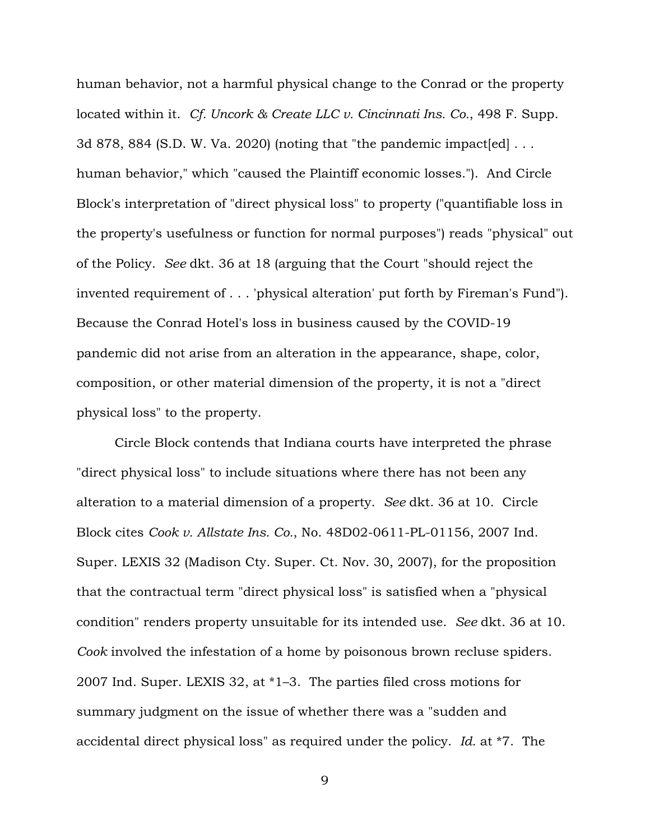human behavior, not a harmful physical change to the Conrad or the property located within it. *Cf. Uncork & Create LLC v. Cincinnati Ins. Co.*, 498 F. Supp. 3d 878, 884 (S.D. W. Va. 2020) (noting that "the pandemic impact [ed]  $\dots$ human behavior," which "caused the Plaintiff economic losses."). And Circle Block's interpretation of "direct physical loss" to property ("quantifiable loss in the property's usefulness or function for normal purposes") reads "physical" out of the Policy. *See* dkt. 36 at 18 (arguing that the Court "should reject the invented requirement of . . . 'physical alteration' put forth by Fireman's Fund"). Because the Conrad Hotel's loss in business caused by the COVID-19 pandemic did not arise from an alteration in the appearance, shape, color, composition, or other material dimension of the property, it is not a "direct physical loss" to the property.

Circle Block contends that Indiana courts have interpreted the phrase "direct physical loss" to include situations where there has not been any alteration to a material dimension of a property. *See* dkt. 36 at 10. Circle Block cites *Cook v. Allstate Ins. Co.*, No. 48D02-0611-PL-01156, 2007 Ind. Super. LEXIS 32 (Madison Cty. Super. Ct. Nov. 30, 2007), for the proposition that the contractual term "direct physical loss" is satisfied when a "physical condition" renders property unsuitable for its intended use. *See* dkt. 36 at 10. *Cook* involved the infestation of a home by poisonous brown recluse spiders. 2007 Ind. Super. LEXIS 32, at \*1–3. The parties filed cross motions for summary judgment on the issue of whether there was a "sudden and accidental direct physical loss" as required under the policy. *Id.* at \*7. The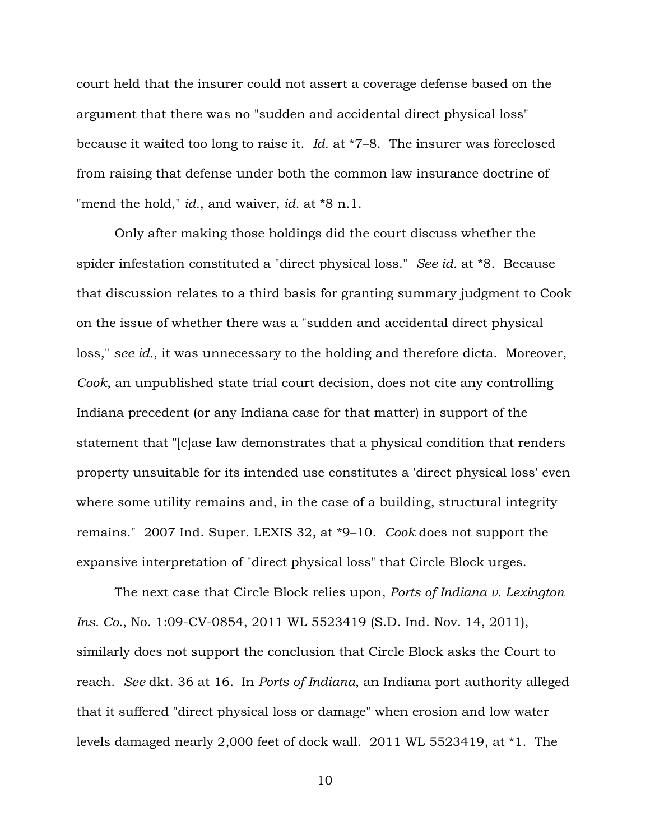court held that the insurer could not assert a coverage defense based on the argument that there was no "sudden and accidental direct physical loss" because it waited too long to raise it. *Id.* at \*7–8. The insurer was foreclosed from raising that defense under both the common law insurance doctrine of "mend the hold," *id.*, and waiver, *id.* at \*8 n.1.

Only after making those holdings did the court discuss whether the spider infestation constituted a "direct physical loss." *See id.* at \*8. Because that discussion relates to a third basis for granting summary judgment to Cook on the issue of whether there was a "sudden and accidental direct physical loss," *see id.*, it was unnecessary to the holding and therefore dicta. Moreover, *Cook*, an unpublished state trial court decision, does not cite any controlling Indiana precedent (or any Indiana case for that matter) in support of the statement that "[c]ase law demonstrates that a physical condition that renders property unsuitable for its intended use constitutes a 'direct physical loss' even where some utility remains and, in the case of a building, structural integrity remains." 2007 Ind. Super. LEXIS 32, at \*9–10. *Cook* does not support the expansive interpretation of "direct physical loss" that Circle Block urges.

The next case that Circle Block relies upon, *Ports of Indiana v. Lexington Ins. Co.*, No. 1:09-CV-0854, 2011 WL 5523419 (S.D. Ind. Nov. 14, 2011), similarly does not support the conclusion that Circle Block asks the Court to reach. *See* dkt. 36 at 16.In *Ports of Indiana*, an Indiana port authority alleged that it suffered "direct physical loss or damage" when erosion and low water levels damaged nearly 2,000 feet of dock wall. 2011 WL 5523419, at \*1. The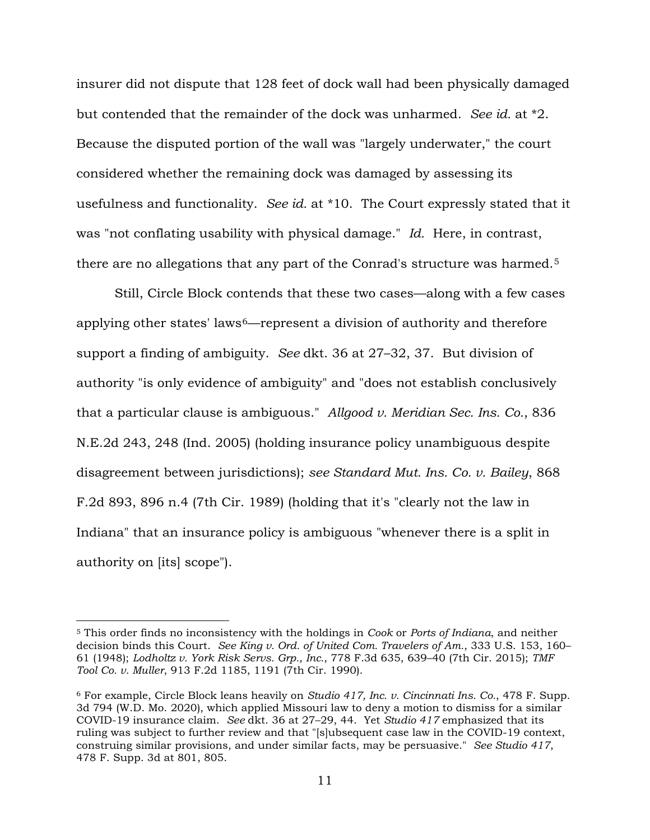insurer did not dispute that 128 feet of dock wall had been physically damaged but contended that the remainder of the dock was unharmed. *See id.* at \*2. Because the disputed portion of the wall was "largely underwater," the court considered whether the remaining dock was damaged by assessing its usefulness and functionality. *See id.* at \*10. The Court expressly stated that it was "not conflating usability with physical damage." *Id.* Here, in contrast, there are no allegations that any part of the Conrad's structure was harmed.[5](#page-10-0)

Still, Circle Block contends that these two cases––along with a few cases applying other states' laws[6](#page-10-1)––represent a division of authority and therefore support a finding of ambiguity. *See* dkt. 36 at 27–32, 37. But division of authority "is only evidence of ambiguity" and "does not establish conclusively that a particular clause is ambiguous." *Allgood v. Meridian Sec. Ins. Co.*, 836 N.E.2d 243, 248 (Ind. 2005) (holding insurance policy unambiguous despite disagreement between jurisdictions); *see Standard Mut. Ins. Co. v. Bailey*, 868 F.2d 893, 896 n.4 (7th Cir. 1989) (holding that it's "clearly not the law in Indiana" that an insurance policy is ambiguous "whenever there is a split in authority on [its] scope").

<span id="page-10-0"></span><sup>5</sup> This order finds no inconsistency with the holdings in *Cook* or *Ports of Indiana*, and neither decision binds this Court. *See King v. Ord. of United Com. Travelers of Am.*, 333 U.S. 153, 160– 61 (1948); *Lodholtz v. York Risk Servs. Grp., Inc.*, 778 F.3d 635, 639–40 (7th Cir. 2015); *TMF Tool Co. v. Muller*, 913 F.2d 1185, 1191 (7th Cir. 1990).

<span id="page-10-1"></span><sup>6</sup> For example, Circle Block leans heavily on *Studio 417, Inc. v. Cincinnati Ins. Co.*, 478 F. Supp. 3d 794 (W.D. Mo. 2020), which applied Missouri law to deny a motion to dismiss for a similar COVID-19 insurance claim. *See* dkt. 36 at 27–29, 44. Yet *Studio 417* emphasized that its ruling was subject to further review and that "[s]ubsequent case law in the COVID-19 context, construing similar provisions, and under similar facts, may be persuasive." *See Studio 417*, 478 F. Supp. 3d at 801, 805.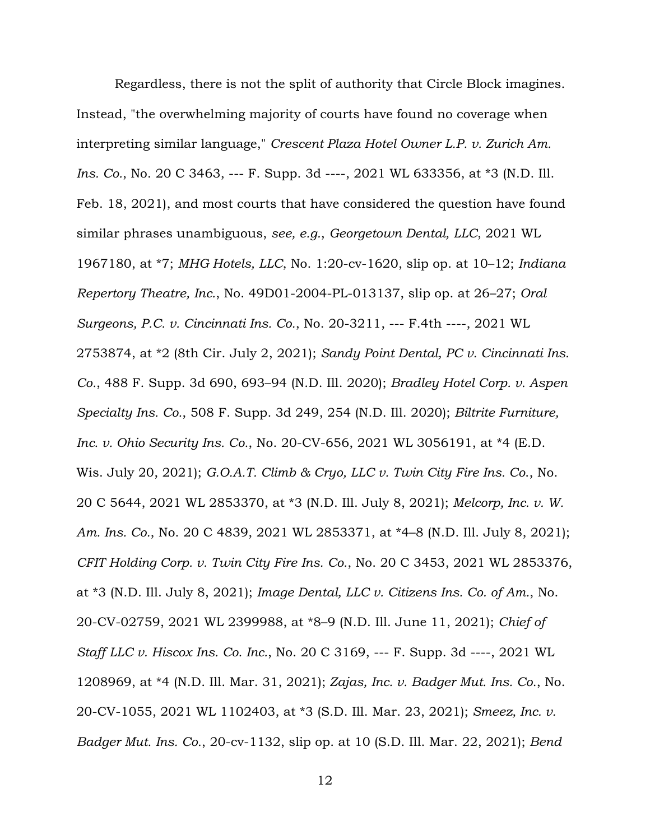Regardless, there is not the split of authority that Circle Block imagines. Instead, "the overwhelming majority of courts have found no coverage when interpreting similar language," *Crescent Plaza Hotel Owner L.P. v. Zurich Am. Ins. Co.*, No. 20 C 3463, --- F. Supp. 3d ----, 2021 WL 633356, at \*3 (N.D. Ill. Feb. 18, 2021), and most courts that have considered the question have found similar phrases unambiguous, *see, e.g.*, *Georgetown Dental, LLC*, 2021 WL 1967180, at \*7; *MHG Hotels, LLC*, No. 1:20-cv-1620, slip op. at 10–12; *Indiana Repertory Theatre, Inc.*, No. 49D01-2004-PL-013137, slip op. at 26–27; *Oral Surgeons, P.C. v. Cincinnati Ins. Co.*, No. 20-3211, --- F.4th ----, 2021 WL 2753874, at \*2 (8th Cir. July 2, 2021); *Sandy Point Dental, PC v. Cincinnati Ins. Co.*, 488 F. Supp. 3d 690, 693–94 (N.D. Ill. 2020); *Bradley Hotel Corp. v. Aspen Specialty Ins. Co.*, 508 F. Supp. 3d 249, 254 (N.D. Ill. 2020); *Biltrite Furniture, Inc. v. Ohio Security Ins. Co.*, No. 20-CV-656, 2021 WL 3056191, at \*4 (E.D. Wis. July 20, 2021); *G.O.A.T. Climb & Cryo, LLC v. Twin City Fire Ins. Co*., No. 20 C 5644, 2021 WL 2853370, at \*3 (N.D. Ill. July 8, 2021); *Melcorp, Inc. v. W. Am. Ins. Co.*, No. 20 C 4839, 2021 WL 2853371, at \*4–8 (N.D. Ill. July 8, 2021); *CFIT Holding Corp. v. Twin City Fire Ins. Co.*, No. 20 C 3453, 2021 WL 2853376, at \*3 (N.D. Ill. July 8, 2021); *Image Dental, LLC v. Citizens Ins. Co. of Am.*, No. 20-CV-02759, 2021 WL 2399988, at \*8–9 (N.D. Ill. June 11, 2021); *Chief of Staff LLC v. Hiscox Ins. Co. Inc.*, No. 20 C 3169, --- F. Supp. 3d ----, 2021 WL 1208969, at \*4 (N.D. Ill. Mar. 31, 2021); *Zajas, Inc. v. Badger Mut. Ins. Co.*, No. 20-CV-1055, 2021 WL 1102403, at \*3 (S.D. Ill. Mar. 23, 2021); *Smeez, Inc. v. Badger Mut. Ins. Co.*, 20-cv-1132, slip op. at 10 (S.D. Ill. Mar. 22, 2021); *Bend*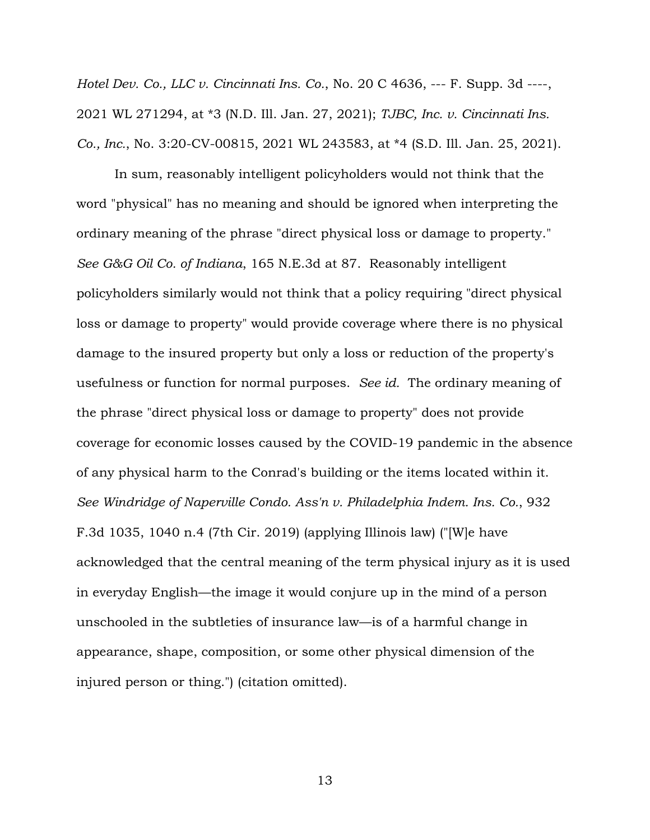*Hotel Dev. Co., LLC v. Cincinnati Ins. Co.*, No. 20 C 4636, --- F. Supp. 3d ----, 2021 WL 271294, at \*3 (N.D. Ill. Jan. 27, 2021); *TJBC, Inc. v. Cincinnati Ins. Co., Inc.*, No. 3:20-CV-00815, 2021 WL 243583, at \*4 (S.D. Ill. Jan. 25, 2021).

In sum, reasonably intelligent policyholders would not think that the word "physical" has no meaning and should be ignored when interpreting the ordinary meaning of the phrase "direct physical loss or damage to property." *See G&G Oil Co. of Indiana*, 165 N.E.3d at 87. Reasonably intelligent policyholders similarly would not think that a policy requiring "direct physical loss or damage to property" would provide coverage where there is no physical damage to the insured property but only a loss or reduction of the property's usefulness or function for normal purposes. *See id.* The ordinary meaning of the phrase "direct physical loss or damage to property" does not provide coverage for economic losses caused by the COVID-19 pandemic in the absence of any physical harm to the Conrad's building or the items located within it. *See Windridge of Naperville Condo. Ass'n v. Philadelphia Indem. Ins. Co.*, 932 F.3d 1035, 1040 n.4 (7th Cir. 2019) (applying Illinois law) ("[W]e have acknowledged that the central meaning of the term physical injury as it is used in everyday English—the image it would conjure up in the mind of a person unschooled in the subtleties of insurance law—is of a harmful change in appearance, shape, composition, or some other physical dimension of the injured person or thing.") (citation omitted).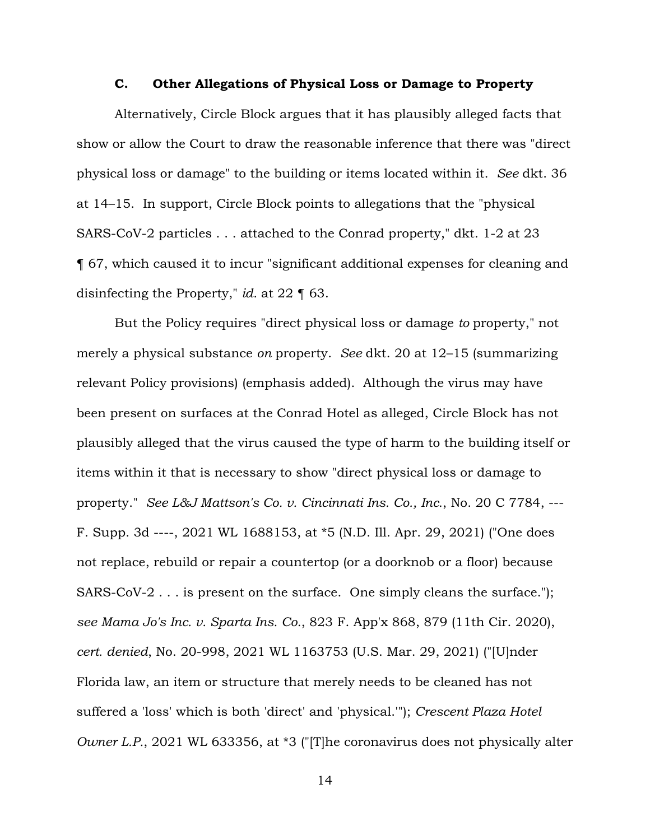#### **C. Other Allegations of Physical Loss or Damage to Property**

Alternatively, Circle Block argues that it has plausibly alleged facts that show or allow the Court to draw the reasonable inference that there was "direct physical loss or damage" to the building or items located within it. *See* dkt. 36 at 14–15. In support, Circle Block points to allegations that the "physical SARS-CoV-2 particles . . . attached to the Conrad property," dkt. 1-2 at 23 ¶ 67, which caused it to incur "significant additional expenses for cleaning and disinfecting the Property," *id.* at 22 ¶ 63.

But the Policy requires "direct physical loss or damage *to* property," not merely a physical substance *on* property. *See* dkt. 20 at 12–15 (summarizing relevant Policy provisions) (emphasis added). Although the virus may have been present on surfaces at the Conrad Hotel as alleged, Circle Block has not plausibly alleged that the virus caused the type of harm to the building itself or items within it that is necessary to show "direct physical loss or damage to property." *See L&J Mattson's Co. v. Cincinnati Ins. Co., Inc.*, No. 20 C 7784, --- F. Supp. 3d ----, 2021 WL 1688153, at \*5 (N.D. Ill. Apr. 29, 2021) ("One does not replace, rebuild or repair a countertop (or a doorknob or a floor) because SARS-CoV-2 . . . is present on the surface. One simply cleans the surface."); *see Mama Jo's Inc. v. Sparta Ins. Co.*, 823 F. App'x 868, 879 (11th Cir. 2020), *cert. denied*, No. 20-998, 2021 WL 1163753 (U.S. Mar. 29, 2021) ("[U]nder Florida law, an item or structure that merely needs to be cleaned has not suffered a 'loss' which is both 'direct' and 'physical.'"); *Crescent Plaza Hotel Owner L.P.*, 2021 WL 633356, at \*3 ("[T]he coronavirus does not physically alter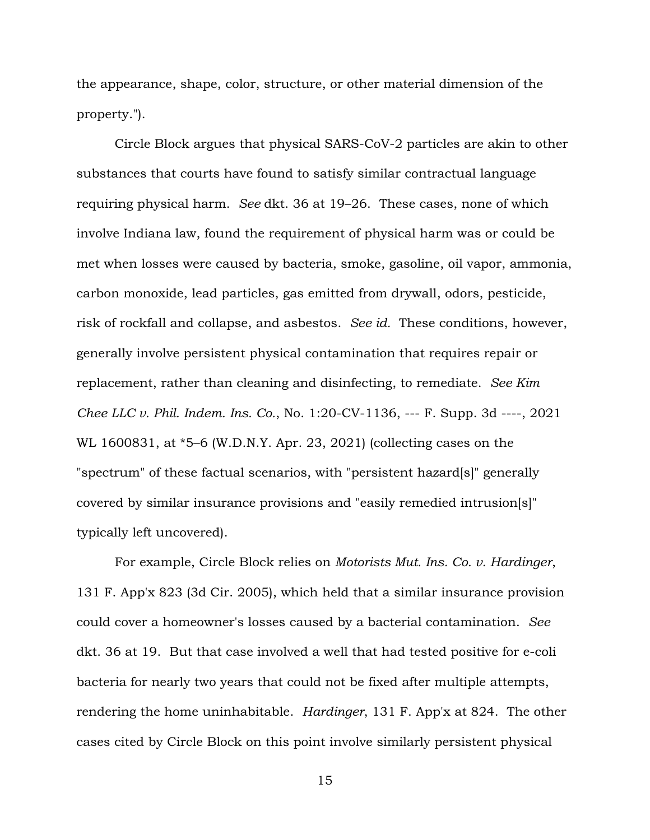the appearance, shape, color, structure, or other material dimension of the property.").

Circle Block argues that physical SARS-CoV-2 particles are akin to other substances that courts have found to satisfy similar contractual language requiring physical harm. *See* dkt. 36 at 19–26. These cases, none of which involve Indiana law, found the requirement of physical harm was or could be met when losses were caused by bacteria, smoke, gasoline, oil vapor, ammonia, carbon monoxide, lead particles, gas emitted from drywall, odors, pesticide, risk of rockfall and collapse, and asbestos. *See id.* These conditions, however, generally involve persistent physical contamination that requires repair or replacement, rather than cleaning and disinfecting, to remediate. *See Kim Chee LLC v. Phil. Indem. Ins. Co.*, No. 1:20-CV-1136, --- F. Supp. 3d ----, 2021 WL 1600831, at \*5–6 (W.D.N.Y. Apr. 23, 2021) (collecting cases on the "spectrum" of these factual scenarios, with "persistent hazard[s]" generally covered by similar insurance provisions and "easily remedied intrusion[s]" typically left uncovered).

For example, Circle Block relies on *Motorists Mut. Ins. Co. v. Hardinger*, 131 F. App'x 823 (3d Cir. 2005), which held that a similar insurance provision could cover a homeowner's losses caused by a bacterial contamination. *See*  dkt. 36 at 19. But that case involved a well that had tested positive for e-coli bacteria for nearly two years that could not be fixed after multiple attempts, rendering the home uninhabitable. *Hardinger*, 131 F. App'x at 824. The other cases cited by Circle Block on this point involve similarly persistent physical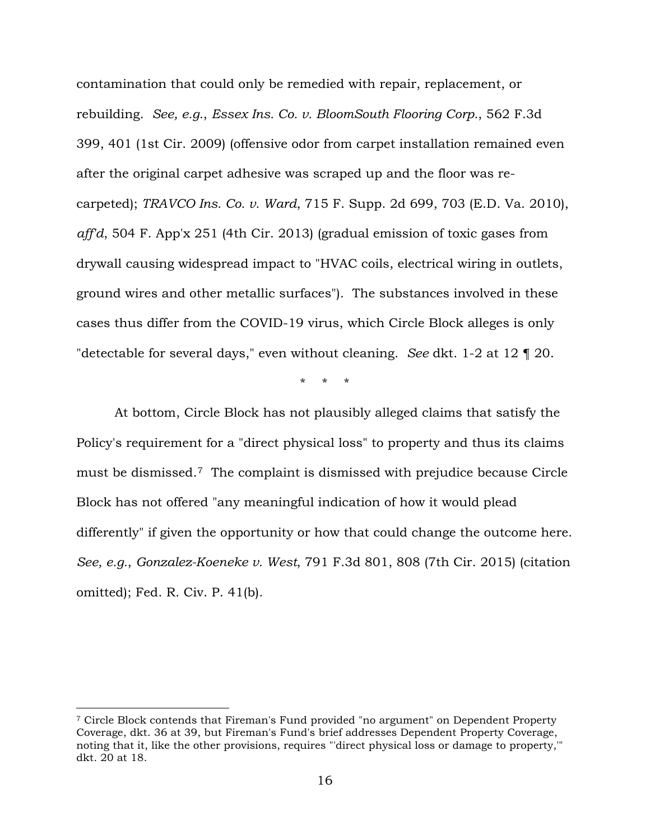contamination that could only be remedied with repair, replacement, or rebuilding. *See, e.g.*, *Essex Ins. Co. v. BloomSouth Flooring Corp.*, 562 F.3d 399, 401 (1st Cir. 2009) (offensive odor from carpet installation remained even after the original carpet adhesive was scraped up and the floor was recarpeted); *TRAVCO Ins. Co. v. Ward*, 715 F. Supp. 2d 699, 703 (E.D. Va. 2010), *aff'd*, 504 F. App'x 251 (4th Cir. 2013) (gradual emission of toxic gases from drywall causing widespread impact to "HVAC coils, electrical wiring in outlets, ground wires and other metallic surfaces"). The substances involved in these cases thus differ from the COVID-19 virus, which Circle Block alleges is only "detectable for several days," even without cleaning. *See* dkt. 1-2 at 12 ¶ 20.

\* \* \*

At bottom, Circle Block has not plausibly alleged claims that satisfy the Policy's requirement for a "direct physical loss" to property and thus its claims must be dismissed.[7](#page-15-0) The complaint is dismissed with prejudice because Circle Block has not offered "any meaningful indication of how it would plead differently" if given the opportunity or how that could change the outcome here. *See, e.g.*, *Gonzalez-Koeneke v. West*, 791 F.3d 801, 808 (7th Cir. 2015) (citation omitted); Fed. R. Civ. P. 41(b).

<span id="page-15-0"></span><sup>7</sup> Circle Block contends that Fireman's Fund provided "no argument" on Dependent Property Coverage, dkt. 36 at 39, but Fireman's Fund's brief addresses Dependent Property Coverage, noting that it, like the other provisions, requires "'direct physical loss or damage to property,'" dkt. 20 at 18.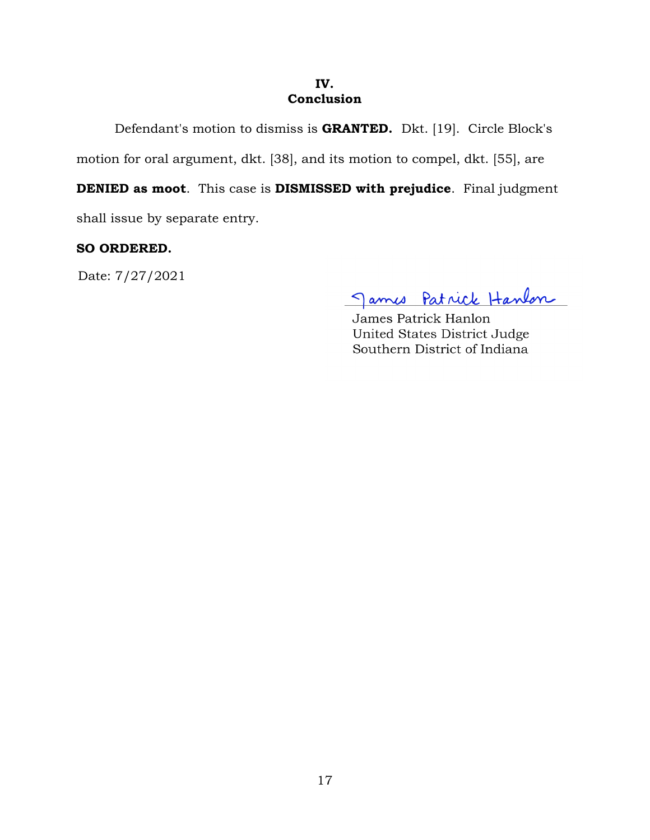#### **IV. Conclusion**

Defendant's motion to dismiss is **GRANTED.** Dkt. [19]. Circle Block's

motion for oral argument, dkt. [38], and its motion to compel, dkt. [55], are

**DENIED as moot**. This case is **DISMISSED with prejudice**. Final judgment

shall issue by separate entry.

# **SO ORDERED.**

Date: 7/27/2021

James Patrick Hanlon

James Patrick Hanlon United States District Judge Southern District of Indiana